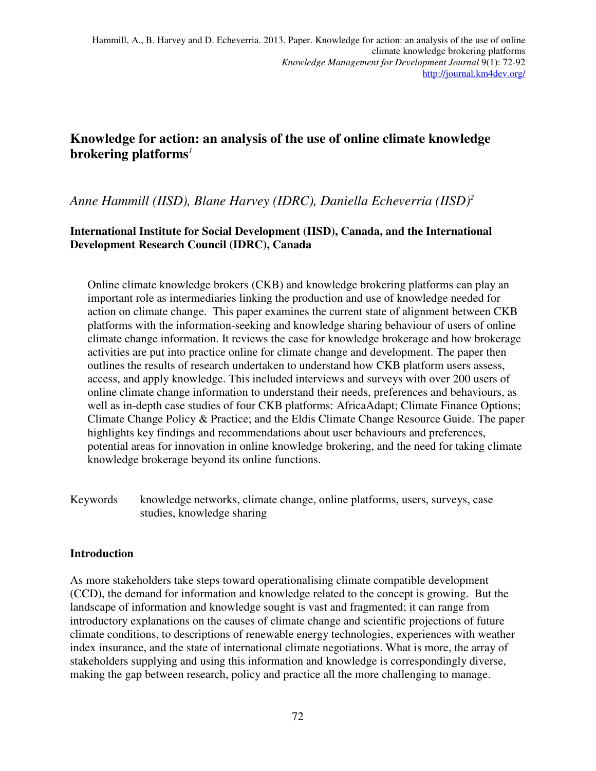# **Knowledge for action: an analysis of the use of online climate knowledge brokering platforms***<sup>1</sup>*

## *Anne Hammill (IISD), Blane Harvey (IDRC), Daniella Echeverria (IISD)<sup>2</sup>*

## **International Institute for Social Development (IISD), Canada, and the International Development Research Council (IDRC), Canada**

Online climate knowledge brokers (CKB) and knowledge brokering platforms can play an important role as intermediaries linking the production and use of knowledge needed for action on climate change. This paper examines the current state of alignment between CKB platforms with the information-seeking and knowledge sharing behaviour of users of online climate change information. It reviews the case for knowledge brokerage and how brokerage activities are put into practice online for climate change and development. The paper then outlines the results of research undertaken to understand how CKB platform users assess, access, and apply knowledge. This included interviews and surveys with over 200 users of online climate change information to understand their needs, preferences and behaviours, as well as in-depth case studies of four CKB platforms: AfricaAdapt; Climate Finance Options; Climate Change Policy & Practice; and the Eldis Climate Change Resource Guide. The paper highlights key findings and recommendations about user behaviours and preferences, potential areas for innovation in online knowledge brokering, and the need for taking climate knowledge brokerage beyond its online functions.

Keywords knowledge networks, climate change, online platforms, users, surveys, case studies, knowledge sharing

## **Introduction**

As more stakeholders take steps toward operationalising climate compatible development (CCD), the demand for information and knowledge related to the concept is growing. But the landscape of information and knowledge sought is vast and fragmented; it can range from introductory explanations on the causes of climate change and scientific projections of future climate conditions, to descriptions of renewable energy technologies, experiences with weather index insurance, and the state of international climate negotiations. What is more, the array of stakeholders supplying and using this information and knowledge is correspondingly diverse, making the gap between research, policy and practice all the more challenging to manage.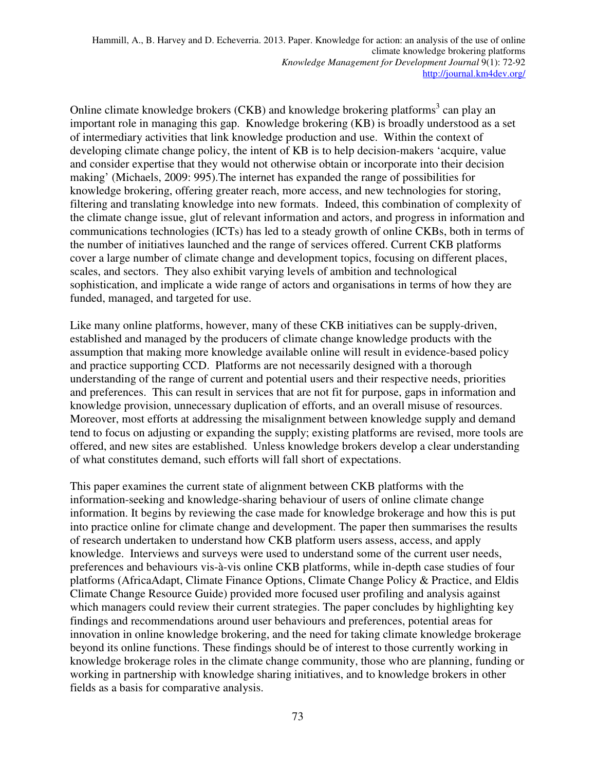Online climate knowledge brokers (CKB) and knowledge brokering platforms<sup>3</sup> can play an important role in managing this gap. Knowledge brokering (KB) is broadly understood as a set of intermediary activities that link knowledge production and use. Within the context of developing climate change policy, the intent of KB is to help decision-makers 'acquire, value and consider expertise that they would not otherwise obtain or incorporate into their decision making' (Michaels, 2009: 995).The internet has expanded the range of possibilities for knowledge brokering, offering greater reach, more access, and new technologies for storing, filtering and translating knowledge into new formats. Indeed, this combination of complexity of the climate change issue, glut of relevant information and actors, and progress in information and communications technologies (ICTs) has led to a steady growth of online CKBs, both in terms of the number of initiatives launched and the range of services offered. Current CKB platforms cover a large number of climate change and development topics, focusing on different places, scales, and sectors. They also exhibit varying levels of ambition and technological sophistication, and implicate a wide range of actors and organisations in terms of how they are funded, managed, and targeted for use.

Like many online platforms, however, many of these CKB initiatives can be supply-driven, established and managed by the producers of climate change knowledge products with the assumption that making more knowledge available online will result in evidence-based policy and practice supporting CCD. Platforms are not necessarily designed with a thorough understanding of the range of current and potential users and their respective needs, priorities and preferences. This can result in services that are not fit for purpose, gaps in information and knowledge provision, unnecessary duplication of efforts, and an overall misuse of resources. Moreover, most efforts at addressing the misalignment between knowledge supply and demand tend to focus on adjusting or expanding the supply; existing platforms are revised, more tools are offered, and new sites are established. Unless knowledge brokers develop a clear understanding of what constitutes demand, such efforts will fall short of expectations.

This paper examines the current state of alignment between CKB platforms with the information-seeking and knowledge-sharing behaviour of users of online climate change information. It begins by reviewing the case made for knowledge brokerage and how this is put into practice online for climate change and development. The paper then summarises the results of research undertaken to understand how CKB platform users assess, access, and apply knowledge. Interviews and surveys were used to understand some of the current user needs, preferences and behaviours vis-à-vis online CKB platforms, while in-depth case studies of four platforms (AfricaAdapt, Climate Finance Options, Climate Change Policy & Practice, and Eldis Climate Change Resource Guide) provided more focused user profiling and analysis against which managers could review their current strategies. The paper concludes by highlighting key findings and recommendations around user behaviours and preferences, potential areas for innovation in online knowledge brokering, and the need for taking climate knowledge brokerage beyond its online functions. These findings should be of interest to those currently working in knowledge brokerage roles in the climate change community, those who are planning, funding or working in partnership with knowledge sharing initiatives, and to knowledge brokers in other fields as a basis for comparative analysis.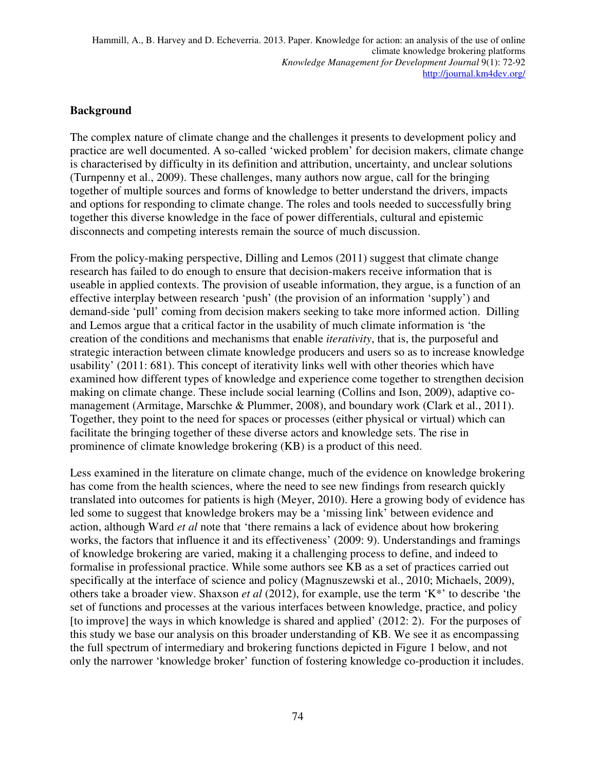#### **Background**

The complex nature of climate change and the challenges it presents to development policy and practice are well documented. A so-called 'wicked problem' for decision makers, climate change is characterised by difficulty in its definition and attribution, uncertainty, and unclear solutions (Turnpenny et al., 2009). These challenges, many authors now argue, call for the bringing together of multiple sources and forms of knowledge to better understand the drivers, impacts and options for responding to climate change. The roles and tools needed to successfully bring together this diverse knowledge in the face of power differentials, cultural and epistemic disconnects and competing interests remain the source of much discussion.

From the policy-making perspective, Dilling and Lemos (2011) suggest that climate change research has failed to do enough to ensure that decision-makers receive information that is useable in applied contexts. The provision of useable information, they argue, is a function of an effective interplay between research 'push' (the provision of an information 'supply') and demand-side 'pull' coming from decision makers seeking to take more informed action. Dilling and Lemos argue that a critical factor in the usability of much climate information is 'the creation of the conditions and mechanisms that enable *iterativity*, that is, the purposeful and strategic interaction between climate knowledge producers and users so as to increase knowledge usability' (2011: 681). This concept of iterativity links well with other theories which have examined how different types of knowledge and experience come together to strengthen decision making on climate change. These include social learning (Collins and Ison, 2009), adaptive comanagement (Armitage, Marschke & Plummer, 2008), and boundary work (Clark et al., 2011). Together, they point to the need for spaces or processes (either physical or virtual) which can facilitate the bringing together of these diverse actors and knowledge sets. The rise in prominence of climate knowledge brokering (KB) is a product of this need.

Less examined in the literature on climate change, much of the evidence on knowledge brokering has come from the health sciences, where the need to see new findings from research quickly translated into outcomes for patients is high (Meyer, 2010). Here a growing body of evidence has led some to suggest that knowledge brokers may be a 'missing link' between evidence and action, although Ward *et al* note that 'there remains a lack of evidence about how brokering works, the factors that influence it and its effectiveness' (2009: 9). Understandings and framings of knowledge brokering are varied, making it a challenging process to define, and indeed to formalise in professional practice. While some authors see KB as a set of practices carried out specifically at the interface of science and policy (Magnuszewski et al., 2010; Michaels, 2009), others take a broader view. Shaxson *et al* (2012), for example, use the term 'K\*' to describe 'the set of functions and processes at the various interfaces between knowledge, practice, and policy [to improve] the ways in which knowledge is shared and applied' (2012: 2). For the purposes of this study we base our analysis on this broader understanding of KB. We see it as encompassing the full spectrum of intermediary and brokering functions depicted in Figure 1 below, and not only the narrower 'knowledge broker' function of fostering knowledge co-production it includes.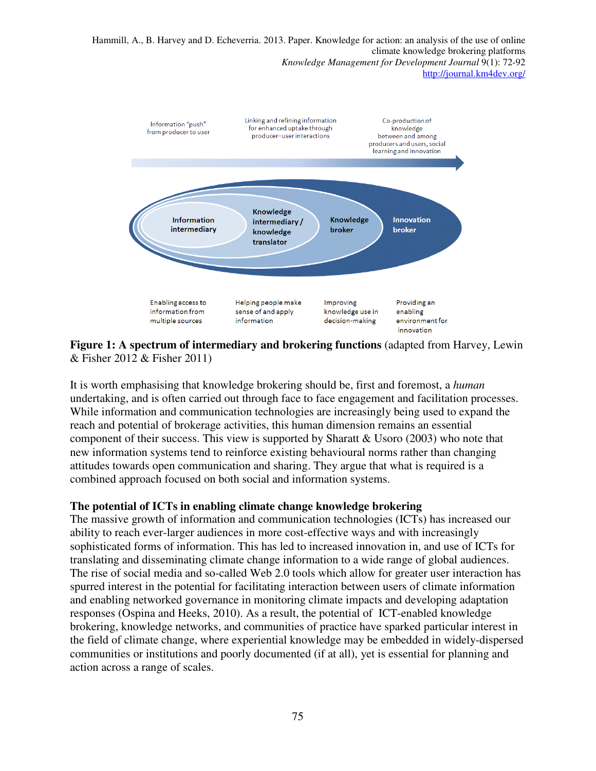

**Figure 1: A spectrum of intermediary and brokering functions** (adapted from Harvey, Lewin & Fisher 2012 & Fisher 2011)

It is worth emphasising that knowledge brokering should be, first and foremost, a *human* undertaking, and is often carried out through face to face engagement and facilitation processes. While information and communication technologies are increasingly being used to expand the reach and potential of brokerage activities, this human dimension remains an essential component of their success. This view is supported by Sharatt  $&$  Usoro (2003) who note that new information systems tend to reinforce existing behavioural norms rather than changing attitudes towards open communication and sharing. They argue that what is required is a combined approach focused on both social and information systems.

#### **The potential of ICTs in enabling climate change knowledge brokering**

The massive growth of information and communication technologies (ICTs) has increased our ability to reach ever-larger audiences in more cost-effective ways and with increasingly sophisticated forms of information. This has led to increased innovation in, and use of ICTs for translating and disseminating climate change information to a wide range of global audiences. The rise of social media and so-called Web 2.0 tools which allow for greater user interaction has spurred interest in the potential for facilitating interaction between users of climate information and enabling networked governance in monitoring climate impacts and developing adaptation responses (Ospina and Heeks, 2010). As a result, the potential of ICT-enabled knowledge brokering, knowledge networks, and communities of practice have sparked particular interest in the field of climate change, where experiential knowledge may be embedded in widely-dispersed communities or institutions and poorly documented (if at all), yet is essential for planning and action across a range of scales.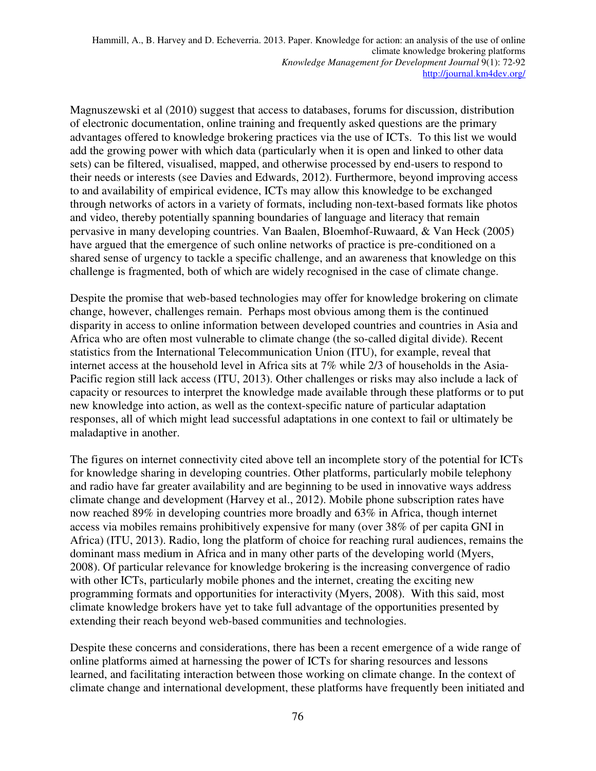Magnuszewski et al (2010) suggest that access to databases, forums for discussion, distribution of electronic documentation, online training and frequently asked questions are the primary advantages offered to knowledge brokering practices via the use of ICTs. To this list we would add the growing power with which data (particularly when it is open and linked to other data sets) can be filtered, visualised, mapped, and otherwise processed by end-users to respond to their needs or interests (see Davies and Edwards, 2012). Furthermore, beyond improving access to and availability of empirical evidence, ICTs may allow this knowledge to be exchanged through networks of actors in a variety of formats, including non-text-based formats like photos and video, thereby potentially spanning boundaries of language and literacy that remain pervasive in many developing countries. Van Baalen, Bloemhof-Ruwaard, & Van Heck (2005) have argued that the emergence of such online networks of practice is pre-conditioned on a shared sense of urgency to tackle a specific challenge, and an awareness that knowledge on this challenge is fragmented, both of which are widely recognised in the case of climate change.

Despite the promise that web-based technologies may offer for knowledge brokering on climate change, however, challenges remain. Perhaps most obvious among them is the continued disparity in access to online information between developed countries and countries in Asia and Africa who are often most vulnerable to climate change (the so-called digital divide). Recent statistics from the International Telecommunication Union (ITU), for example, reveal that internet access at the household level in Africa sits at 7% while 2/3 of households in the Asia-Pacific region still lack access (ITU, 2013). Other challenges or risks may also include a lack of capacity or resources to interpret the knowledge made available through these platforms or to put new knowledge into action, as well as the context-specific nature of particular adaptation responses, all of which might lead successful adaptations in one context to fail or ultimately be maladaptive in another.

The figures on internet connectivity cited above tell an incomplete story of the potential for ICTs for knowledge sharing in developing countries. Other platforms, particularly mobile telephony and radio have far greater availability and are beginning to be used in innovative ways address climate change and development (Harvey et al., 2012). Mobile phone subscription rates have now reached 89% in developing countries more broadly and 63% in Africa, though internet access via mobiles remains prohibitively expensive for many (over 38% of per capita GNI in Africa) (ITU, 2013). Radio, long the platform of choice for reaching rural audiences, remains the dominant mass medium in Africa and in many other parts of the developing world (Myers, 2008). Of particular relevance for knowledge brokering is the increasing convergence of radio with other ICTs, particularly mobile phones and the internet, creating the exciting new programming formats and opportunities for interactivity (Myers, 2008). With this said, most climate knowledge brokers have yet to take full advantage of the opportunities presented by extending their reach beyond web-based communities and technologies.

Despite these concerns and considerations, there has been a recent emergence of a wide range of online platforms aimed at harnessing the power of ICTs for sharing resources and lessons learned, and facilitating interaction between those working on climate change. In the context of climate change and international development, these platforms have frequently been initiated and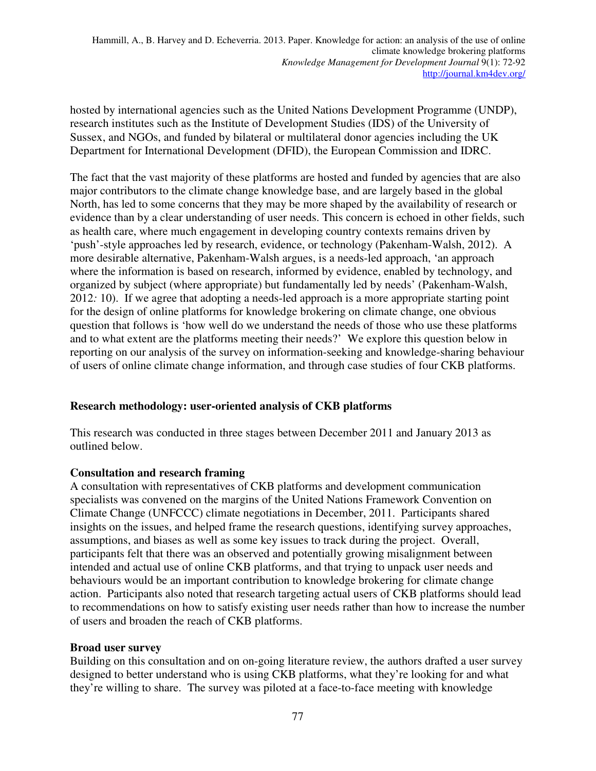hosted by international agencies such as the United Nations Development Programme (UNDP), research institutes such as the Institute of Development Studies (IDS) of the University of Sussex, and NGOs, and funded by bilateral or multilateral donor agencies including the UK Department for International Development (DFID), the European Commission and IDRC.

The fact that the vast majority of these platforms are hosted and funded by agencies that are also major contributors to the climate change knowledge base, and are largely based in the global North, has led to some concerns that they may be more shaped by the availability of research or evidence than by a clear understanding of user needs. This concern is echoed in other fields, such as health care, where much engagement in developing country contexts remains driven by 'push'-style approaches led by research, evidence, or technology (Pakenham-Walsh, 2012). A more desirable alternative, Pakenham-Walsh argues, is a needs-led approach, 'an approach where the information is based on research, informed by evidence, enabled by technology, and organized by subject (where appropriate) but fundamentally led by needs' (Pakenham-Walsh, 2012*:* 10). If we agree that adopting a needs-led approach is a more appropriate starting point for the design of online platforms for knowledge brokering on climate change, one obvious question that follows is 'how well do we understand the needs of those who use these platforms and to what extent are the platforms meeting their needs?' We explore this question below in reporting on our analysis of the survey on information-seeking and knowledge-sharing behaviour of users of online climate change information, and through case studies of four CKB platforms.

## **Research methodology: user-oriented analysis of CKB platforms**

This research was conducted in three stages between December 2011 and January 2013 as outlined below.

## **Consultation and research framing**

A consultation with representatives of CKB platforms and development communication specialists was convened on the margins of the United Nations Framework Convention on Climate Change (UNFCCC) climate negotiations in December, 2011. Participants shared insights on the issues, and helped frame the research questions, identifying survey approaches, assumptions, and biases as well as some key issues to track during the project. Overall, participants felt that there was an observed and potentially growing misalignment between intended and actual use of online CKB platforms, and that trying to unpack user needs and behaviours would be an important contribution to knowledge brokering for climate change action. Participants also noted that research targeting actual users of CKB platforms should lead to recommendations on how to satisfy existing user needs rather than how to increase the number of users and broaden the reach of CKB platforms.

## **Broad user survey**

Building on this consultation and on on-going literature review, the authors drafted a user survey designed to better understand who is using CKB platforms, what they're looking for and what they're willing to share. The survey was piloted at a face-to-face meeting with knowledge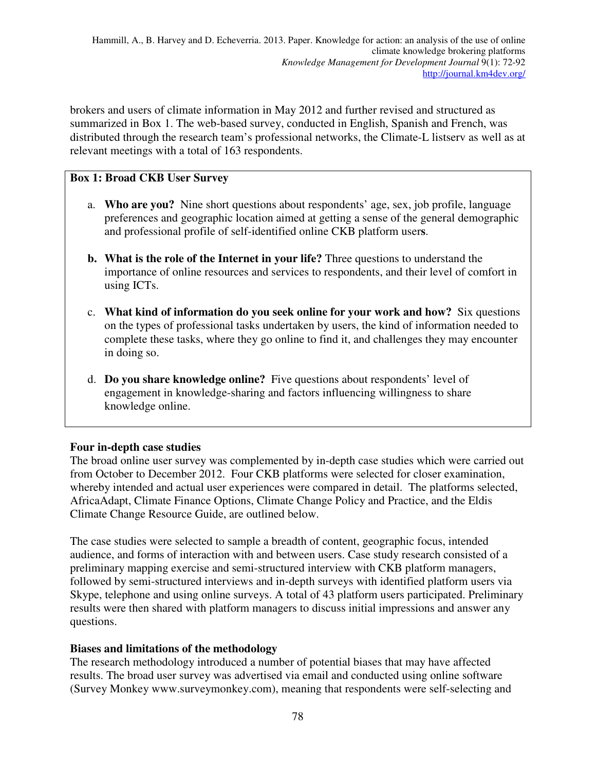brokers and users of climate information in May 2012 and further revised and structured as summarized in Box 1. The web-based survey, conducted in English, Spanish and French, was distributed through the research team's professional networks, the Climate-L listserv as well as at relevant meetings with a total of 163 respondents.

## **Box 1: Broad CKB User Survey**

- a. **Who are you?** Nine short questions about respondents' age, sex, job profile, language preferences and geographic location aimed at getting a sense of the general demographic and professional profile of self-identified online CKB platform user**s**.
- **b. What is the role of the Internet in your life?** Three questions to understand the importance of online resources and services to respondents, and their level of comfort in using ICTs.
- c. **What kind of information do you seek online for your work and how?** Six questions on the types of professional tasks undertaken by users, the kind of information needed to complete these tasks, where they go online to find it, and challenges they may encounter in doing so.
- d. **Do you share knowledge online?** Five questions about respondents' level of engagement in knowledge-sharing and factors influencing willingness to share knowledge online.

## **Four in-depth case studies**

The broad online user survey was complemented by in-depth case studies which were carried out from October to December 2012. Four CKB platforms were selected for closer examination, whereby intended and actual user experiences were compared in detail. The platforms selected, AfricaAdapt, Climate Finance Options, Climate Change Policy and Practice, and the Eldis Climate Change Resource Guide, are outlined below.

The case studies were selected to sample a breadth of content, geographic focus, intended audience, and forms of interaction with and between users. Case study research consisted of a preliminary mapping exercise and semi-structured interview with CKB platform managers, followed by semi-structured interviews and in-depth surveys with identified platform users via Skype, telephone and using online surveys. A total of 43 platform users participated. Preliminary results were then shared with platform managers to discuss initial impressions and answer any questions.

## **Biases and limitations of the methodology**

The research methodology introduced a number of potential biases that may have affected results. The broad user survey was advertised via email and conducted using online software (Survey Monkey www.surveymonkey.com), meaning that respondents were self-selecting and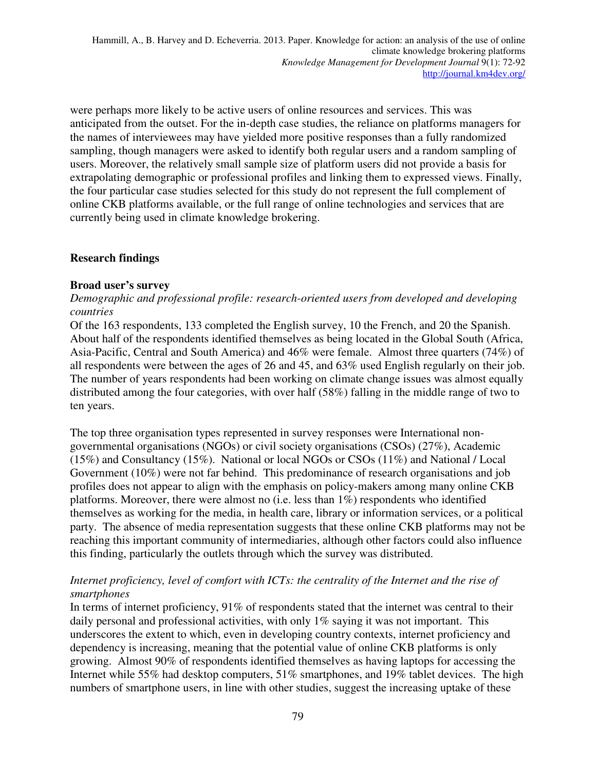were perhaps more likely to be active users of online resources and services. This was anticipated from the outset. For the in-depth case studies, the reliance on platforms managers for the names of interviewees may have yielded more positive responses than a fully randomized sampling, though managers were asked to identify both regular users and a random sampling of users. Moreover, the relatively small sample size of platform users did not provide a basis for extrapolating demographic or professional profiles and linking them to expressed views. Finally, the four particular case studies selected for this study do not represent the full complement of online CKB platforms available, or the full range of online technologies and services that are currently being used in climate knowledge brokering.

## **Research findings**

#### **Broad user's survey**

#### *Demographic and professional profile: research-oriented users from developed and developing countries*

Of the 163 respondents, 133 completed the English survey, 10 the French, and 20 the Spanish. About half of the respondents identified themselves as being located in the Global South (Africa, Asia-Pacific, Central and South America) and 46% were female. Almost three quarters (74%) of all respondents were between the ages of 26 and 45, and 63% used English regularly on their job. The number of years respondents had been working on climate change issues was almost equally distributed among the four categories, with over half (58%) falling in the middle range of two to ten years.

The top three organisation types represented in survey responses were International nongovernmental organisations (NGOs) or civil society organisations (CSOs) (27%), Academic (15%) and Consultancy (15%). National or local NGOs or CSOs (11%) and National / Local Government (10%) were not far behind. This predominance of research organisations and job profiles does not appear to align with the emphasis on policy-makers among many online CKB platforms. Moreover, there were almost no (i.e. less than 1%) respondents who identified themselves as working for the media, in health care, library or information services, or a political party. The absence of media representation suggests that these online CKB platforms may not be reaching this important community of intermediaries, although other factors could also influence this finding, particularly the outlets through which the survey was distributed.

#### *Internet proficiency, level of comfort with ICTs: the centrality of the Internet and the rise of smartphones*

In terms of internet proficiency, 91% of respondents stated that the internet was central to their daily personal and professional activities, with only 1% saying it was not important. This underscores the extent to which, even in developing country contexts, internet proficiency and dependency is increasing, meaning that the potential value of online CKB platforms is only growing. Almost 90% of respondents identified themselves as having laptops for accessing the Internet while 55% had desktop computers, 51% smartphones, and 19% tablet devices. The high numbers of smartphone users, in line with other studies, suggest the increasing uptake of these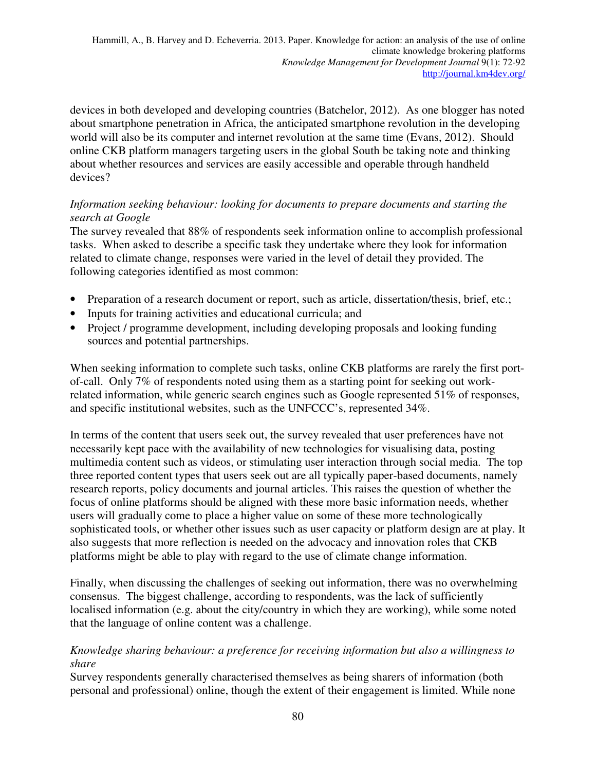devices in both developed and developing countries (Batchelor, 2012). As one blogger has noted about smartphone penetration in Africa, the anticipated smartphone revolution in the developing world will also be its computer and internet revolution at the same time (Evans, 2012). Should online CKB platform managers targeting users in the global South be taking note and thinking about whether resources and services are easily accessible and operable through handheld devices?

## *Information seeking behaviour: looking for documents to prepare documents and starting the search at Google*

The survey revealed that 88% of respondents seek information online to accomplish professional tasks. When asked to describe a specific task they undertake where they look for information related to climate change, responses were varied in the level of detail they provided. The following categories identified as most common:

- Preparation of a research document or report, such as article, dissertation/thesis, brief, etc.;
- Inputs for training activities and educational curricula; and
- Project / programme development, including developing proposals and looking funding sources and potential partnerships.

When seeking information to complete such tasks, online CKB platforms are rarely the first portof-call. Only 7% of respondents noted using them as a starting point for seeking out workrelated information, while generic search engines such as Google represented 51% of responses, and specific institutional websites, such as the UNFCCC's, represented 34%.

In terms of the content that users seek out, the survey revealed that user preferences have not necessarily kept pace with the availability of new technologies for visualising data, posting multimedia content such as videos, or stimulating user interaction through social media. The top three reported content types that users seek out are all typically paper-based documents, namely research reports, policy documents and journal articles. This raises the question of whether the focus of online platforms should be aligned with these more basic information needs, whether users will gradually come to place a higher value on some of these more technologically sophisticated tools, or whether other issues such as user capacity or platform design are at play. It also suggests that more reflection is needed on the advocacy and innovation roles that CKB platforms might be able to play with regard to the use of climate change information.

Finally, when discussing the challenges of seeking out information, there was no overwhelming consensus. The biggest challenge, according to respondents, was the lack of sufficiently localised information (e.g. about the city/country in which they are working), while some noted that the language of online content was a challenge.

#### *Knowledge sharing behaviour: a preference for receiving information but also a willingness to share*

Survey respondents generally characterised themselves as being sharers of information (both personal and professional) online, though the extent of their engagement is limited. While none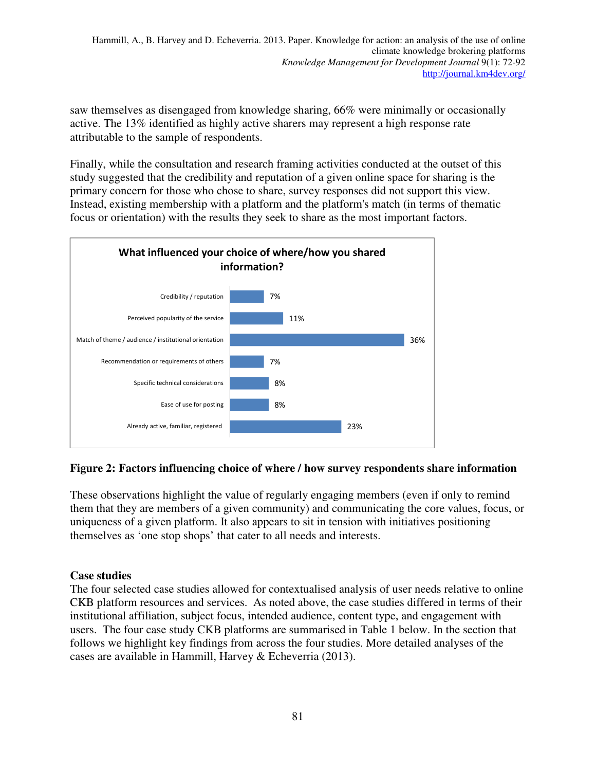saw themselves as disengaged from knowledge sharing, 66% were minimally or occasionally active. The 13% identified as highly active sharers may represent a high response rate attributable to the sample of respondents.

Finally, while the consultation and research framing activities conducted at the outset of this study suggested that the credibility and reputation of a given online space for sharing is the primary concern for those who chose to share, survey responses did not support this view. Instead, existing membership with a platform and the platform's match (in terms of thematic focus or orientation) with the results they seek to share as the most important factors.



## **Figure 2: Factors influencing choice of where / how survey respondents share information**

These observations highlight the value of regularly engaging members (even if only to remind them that they are members of a given community) and communicating the core values, focus, or uniqueness of a given platform. It also appears to sit in tension with initiatives positioning themselves as 'one stop shops' that cater to all needs and interests.

## **Case studies**

The four selected case studies allowed for contextualised analysis of user needs relative to online CKB platform resources and services. As noted above, the case studies differed in terms of their institutional affiliation, subject focus, intended audience, content type, and engagement with users. The four case study CKB platforms are summarised in Table 1 below. In the section that follows we highlight key findings from across the four studies. More detailed analyses of the cases are available in Hammill, Harvey & Echeverria (2013).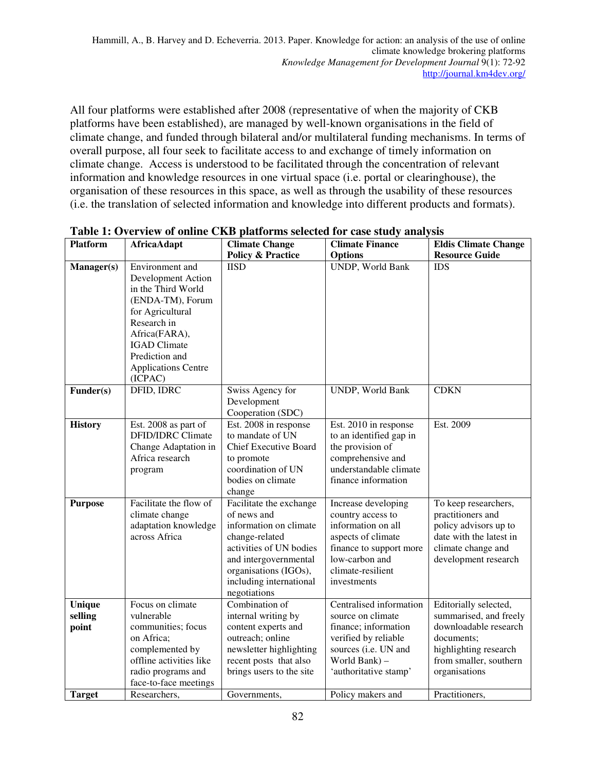All four platforms were established after 2008 (representative of when the majority of CKB platforms have been established), are managed by well-known organisations in the field of climate change, and funded through bilateral and/or multilateral funding mechanisms. In terms of overall purpose, all four seek to facilitate access to and exchange of timely information on climate change. Access is understood to be facilitated through the concentration of relevant information and knowledge resources in one virtual space (i.e. portal or clearinghouse), the organisation of these resources in this space, as well as through the usability of these resources (i.e. the translation of selected information and knowledge into different products and formats).

| <b>Platform</b>            | <b>AfricaAdapt</b>                                                                                                                                                                                                    | <b>Climate Change</b>                                                                                                                                                                                      | <b>Climate Finance</b>                                                                                                                                                | <b>Eldis Climate Change</b>                                                                                                                                |
|----------------------------|-----------------------------------------------------------------------------------------------------------------------------------------------------------------------------------------------------------------------|------------------------------------------------------------------------------------------------------------------------------------------------------------------------------------------------------------|-----------------------------------------------------------------------------------------------------------------------------------------------------------------------|------------------------------------------------------------------------------------------------------------------------------------------------------------|
|                            |                                                                                                                                                                                                                       | <b>Policy &amp; Practice</b>                                                                                                                                                                               | <b>Options</b>                                                                                                                                                        | <b>Resource Guide</b>                                                                                                                                      |
| Manager(s)                 | Environment and<br>Development Action<br>in the Third World<br>(ENDA-TM), Forum<br>for Agricultural<br>Research in<br>Africa(FARA),<br><b>IGAD</b> Climate<br>Prediction and<br><b>Applications Centre</b><br>(ICPAC) | <b>IISD</b>                                                                                                                                                                                                | UNDP, World Bank                                                                                                                                                      | <b>IDS</b>                                                                                                                                                 |
| Funder(s)                  | DFID, IDRC                                                                                                                                                                                                            | Swiss Agency for<br>Development<br>Cooperation (SDC)                                                                                                                                                       | UNDP, World Bank                                                                                                                                                      | <b>CDKN</b>                                                                                                                                                |
| <b>History</b>             | Est. 2008 as part of<br><b>DFID/IDRC</b> Climate<br>Change Adaptation in<br>Africa research<br>program                                                                                                                | Est. 2008 in response<br>to mandate of UN<br><b>Chief Executive Board</b><br>to promote<br>coordination of UN<br>bodies on climate<br>change                                                               | Est. 2010 in response<br>to an identified gap in<br>the provision of<br>comprehensive and<br>understandable climate<br>finance information                            | Est. 2009                                                                                                                                                  |
| <b>Purpose</b>             | Facilitate the flow of<br>climate change<br>adaptation knowledge<br>across Africa                                                                                                                                     | Facilitate the exchange<br>of news and<br>information on climate<br>change-related<br>activities of UN bodies<br>and intergovernmental<br>organisations (IGOs),<br>including international<br>negotiations | Increase developing<br>country access to<br>information on all<br>aspects of climate<br>finance to support more<br>low-carbon and<br>climate-resilient<br>investments | To keep researchers,<br>practitioners and<br>policy advisors up to<br>date with the latest in<br>climate change and<br>development research                |
| Unique<br>selling<br>point | Focus on climate<br>vulnerable<br>communities; focus<br>on Africa;<br>complemented by<br>offline activities like<br>radio programs and<br>face-to-face meetings                                                       | Combination of<br>internal writing by<br>content experts and<br>outreach; online<br>newsletter highlighting<br>recent posts that also<br>brings users to the site                                          | Centralised information<br>source on climate<br>finance; information<br>verified by reliable<br>sources (i.e. UN and<br>World Bank) -<br>'authoritative stamp'        | Editorially selected,<br>summarised, and freely<br>downloadable research<br>documents;<br>highlighting research<br>from smaller, southern<br>organisations |
| <b>Target</b>              | Researchers,                                                                                                                                                                                                          | Governments,                                                                                                                                                                                               | Policy makers and                                                                                                                                                     | Practitioners,                                                                                                                                             |

**Table 1: Overview of online CKB platforms selected for case study analysis**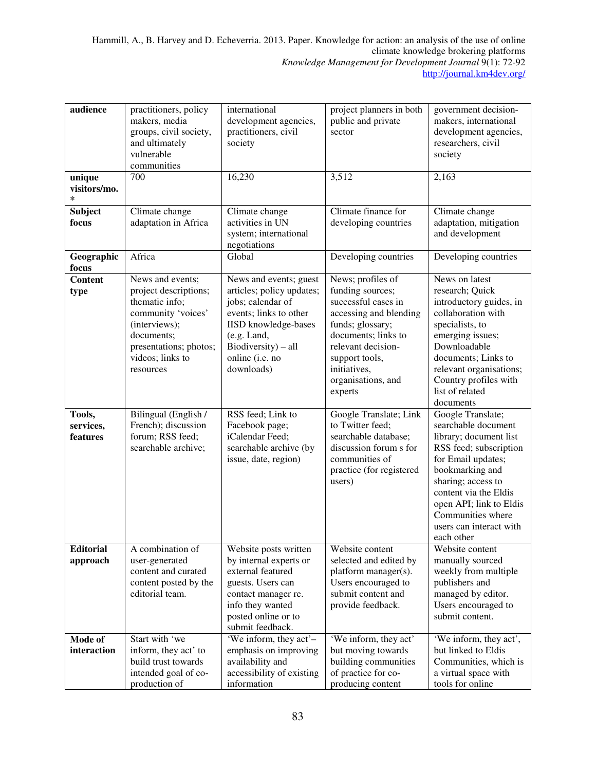| audience                         | practitioners, policy<br>makers, media<br>groups, civil society,<br>and ultimately<br>vulnerable                                                                            | international<br>development agencies,<br>practitioners, civil<br>society                                                                                                                                | project planners in both<br>public and private<br>sector                                                                                                                                                                   | government decision-<br>makers, international<br>development agencies,<br>researchers, civil<br>society                                                                                                                                                                       |
|----------------------------------|-----------------------------------------------------------------------------------------------------------------------------------------------------------------------------|----------------------------------------------------------------------------------------------------------------------------------------------------------------------------------------------------------|----------------------------------------------------------------------------------------------------------------------------------------------------------------------------------------------------------------------------|-------------------------------------------------------------------------------------------------------------------------------------------------------------------------------------------------------------------------------------------------------------------------------|
|                                  | communities                                                                                                                                                                 |                                                                                                                                                                                                          |                                                                                                                                                                                                                            |                                                                                                                                                                                                                                                                               |
| unique<br>visitors/mo.<br>$\ast$ | 700                                                                                                                                                                         | 16,230                                                                                                                                                                                                   | 3,512                                                                                                                                                                                                                      | 2,163                                                                                                                                                                                                                                                                         |
| <b>Subject</b><br>focus          | Climate change<br>adaptation in Africa                                                                                                                                      | Climate change<br>activities in UN<br>system; international<br>negotiations                                                                                                                              | Climate finance for<br>developing countries                                                                                                                                                                                | Climate change<br>adaptation, mitigation<br>and development                                                                                                                                                                                                                   |
| Geographic<br>focus              | Africa                                                                                                                                                                      | Global                                                                                                                                                                                                   | Developing countries                                                                                                                                                                                                       | Developing countries                                                                                                                                                                                                                                                          |
| <b>Content</b><br>type           | News and events;<br>project descriptions;<br>thematic info;<br>community 'voices'<br>(interviews);<br>documents;<br>presentations; photos;<br>videos; links to<br>resources | News and events; guest<br>articles; policy updates;<br>jobs; calendar of<br>events; links to other<br><b>IISD</b> knowledge-bases<br>(e.g. Land,<br>Biodiversity) - all<br>online (i.e. no<br>downloads) | News; profiles of<br>funding sources;<br>successful cases in<br>accessing and blending<br>funds; glossary;<br>documents; links to<br>relevant decision-<br>support tools,<br>initiatives,<br>organisations, and<br>experts | News on latest<br>research; Quick<br>introductory guides, in<br>collaboration with<br>specialists, to<br>emerging issues;<br>Downloadable<br>documents; Links to<br>relevant organisations;<br>Country profiles with<br>list of related<br>documents                          |
| Tools,<br>services,<br>features  | Bilingual (English /<br>French); discussion<br>forum; RSS feed;<br>searchable archive;                                                                                      | RSS feed; Link to<br>Facebook page;<br>iCalendar Feed:<br>searchable archive (by<br>issue, date, region)                                                                                                 | Google Translate; Link<br>to Twitter feed;<br>searchable database;<br>discussion forum s for<br>communities of<br>practice (for registered<br>users)                                                                       | Google Translate;<br>searchable document<br>library; document list<br>RSS feed; subscription<br>for Email updates;<br>bookmarking and<br>sharing; access to<br>content via the Eldis<br>open API; link to Eldis<br>Communities where<br>users can interact with<br>each other |
| <b>Editorial</b><br>approach     | A combination of<br>user-generated<br>content and curated<br>content posted by the<br>editorial team.                                                                       | Website posts written<br>by internal experts or<br>external featured<br>guests. Users can<br>contact manager re.<br>info they wanted<br>posted online or to<br>submit feedback.                          | Website content<br>selected and edited by<br>platform manager(s).<br>Users encouraged to<br>submit content and<br>provide feedback.                                                                                        | Website content<br>manually sourced<br>weekly from multiple<br>publishers and<br>managed by editor.<br>Users encouraged to<br>submit content.                                                                                                                                 |
| Mode of<br>interaction           | Start with 'we<br>inform, they act' to<br>build trust towards<br>intended goal of co-<br>production of                                                                      | 'We inform, they act'-<br>emphasis on improving<br>availability and<br>accessibility of existing<br>information                                                                                          | 'We inform, they act'<br>but moving towards<br>building communities<br>of practice for co-<br>producing content                                                                                                            | 'We inform, they act',<br>but linked to Eldis<br>Communities, which is<br>a virtual space with<br>tools for online                                                                                                                                                            |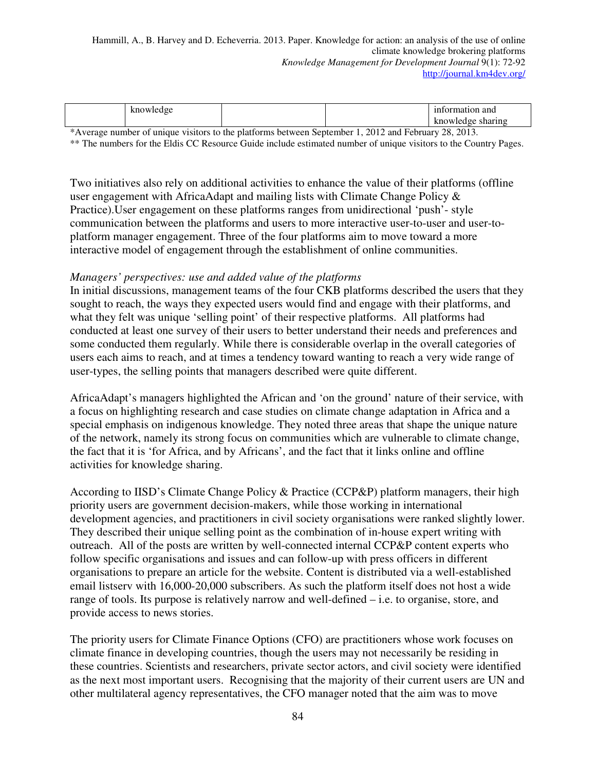|   |                         |                                     | on and<br>на      |
|---|-------------------------|-------------------------------------|-------------------|
|   |                         |                                     | <b>INTIO</b> ANTO |
| . | $\sim$<br>$\sim$<br>. . | ----<br>$\sim$ $\sim$ $\sim$<br>. . | -------           |

\*Average number of unique visitors to the platforms between September 1, 2012 and February 28, 2013.

\*\* The numbers for the Eldis CC Resource Guide include estimated number of unique visitors to the Country Pages.

Two initiatives also rely on additional activities to enhance the value of their platforms (offline user engagement with AfricaAdapt and mailing lists with Climate Change Policy & Practice).User engagement on these platforms ranges from unidirectional 'push'- style communication between the platforms and users to more interactive user-to-user and user-toplatform manager engagement. Three of the four platforms aim to move toward a more interactive model of engagement through the establishment of online communities.

#### *Managers' perspectives: use and added value of the platforms*

In initial discussions, management teams of the four CKB platforms described the users that they sought to reach, the ways they expected users would find and engage with their platforms, and what they felt was unique 'selling point' of their respective platforms. All platforms had conducted at least one survey of their users to better understand their needs and preferences and some conducted them regularly. While there is considerable overlap in the overall categories of users each aims to reach, and at times a tendency toward wanting to reach a very wide range of user-types, the selling points that managers described were quite different.

AfricaAdapt's managers highlighted the African and 'on the ground' nature of their service, with a focus on highlighting research and case studies on climate change adaptation in Africa and a special emphasis on indigenous knowledge. They noted three areas that shape the unique nature of the network, namely its strong focus on communities which are vulnerable to climate change, the fact that it is 'for Africa, and by Africans', and the fact that it links online and offline activities for knowledge sharing.

According to IISD's Climate Change Policy & Practice (CCP&P) platform managers, their high priority users are government decision-makers, while those working in international development agencies, and practitioners in civil society organisations were ranked slightly lower. They described their unique selling point as the combination of in-house expert writing with outreach. All of the posts are written by well-connected internal CCP&P content experts who follow specific organisations and issues and can follow-up with press officers in different organisations to prepare an article for the website. Content is distributed via a well-established email listserv with 16,000-20,000 subscribers. As such the platform itself does not host a wide range of tools. Its purpose is relatively narrow and well-defined – i.e. to organise, store, and provide access to news stories.

The priority users for Climate Finance Options (CFO) are practitioners whose work focuses on climate finance in developing countries, though the users may not necessarily be residing in these countries. Scientists and researchers, private sector actors, and civil society were identified as the next most important users. Recognising that the majority of their current users are UN and other multilateral agency representatives, the CFO manager noted that the aim was to move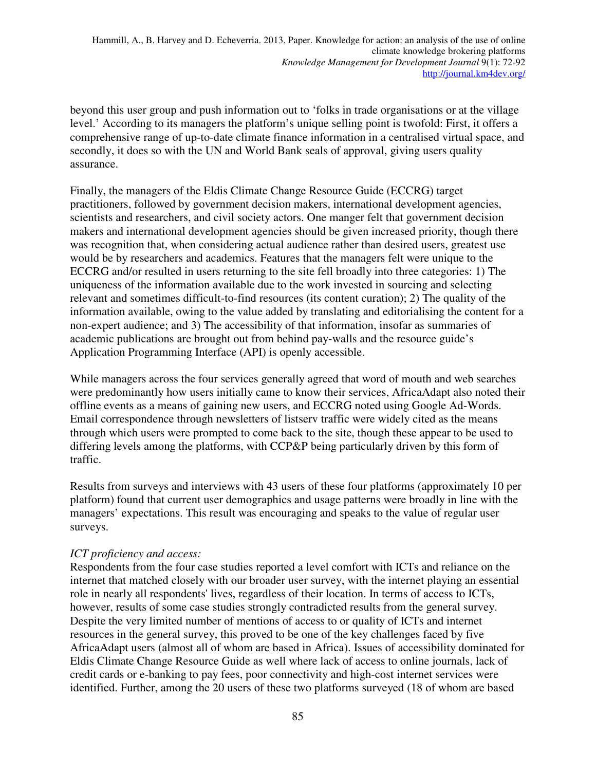beyond this user group and push information out to 'folks in trade organisations or at the village level.' According to its managers the platform's unique selling point is twofold: First, it offers a comprehensive range of up-to-date climate finance information in a centralised virtual space, and secondly, it does so with the UN and World Bank seals of approval, giving users quality assurance.

Finally, the managers of the Eldis Climate Change Resource Guide (ECCRG) target practitioners, followed by government decision makers, international development agencies, scientists and researchers, and civil society actors. One manger felt that government decision makers and international development agencies should be given increased priority, though there was recognition that, when considering actual audience rather than desired users, greatest use would be by researchers and academics. Features that the managers felt were unique to the ECCRG and/or resulted in users returning to the site fell broadly into three categories: 1) The uniqueness of the information available due to the work invested in sourcing and selecting relevant and sometimes difficult-to-find resources (its content curation); 2) The quality of the information available, owing to the value added by translating and editorialising the content for a non-expert audience; and 3) The accessibility of that information, insofar as summaries of academic publications are brought out from behind pay-walls and the resource guide's Application Programming Interface (API) is openly accessible.

While managers across the four services generally agreed that word of mouth and web searches were predominantly how users initially came to know their services, AfricaAdapt also noted their offline events as a means of gaining new users, and ECCRG noted using Google Ad-Words. Email correspondence through newsletters of listserv traffic were widely cited as the means through which users were prompted to come back to the site, though these appear to be used to differing levels among the platforms, with CCP&P being particularly driven by this form of traffic.

Results from surveys and interviews with 43 users of these four platforms (approximately 10 per platform) found that current user demographics and usage patterns were broadly in line with the managers' expectations. This result was encouraging and speaks to the value of regular user surveys.

## *ICT proficiency and access:*

Respondents from the four case studies reported a level comfort with ICTs and reliance on the internet that matched closely with our broader user survey, with the internet playing an essential role in nearly all respondents' lives, regardless of their location. In terms of access to ICTs, however, results of some case studies strongly contradicted results from the general survey. Despite the very limited number of mentions of access to or quality of ICTs and internet resources in the general survey, this proved to be one of the key challenges faced by five AfricaAdapt users (almost all of whom are based in Africa). Issues of accessibility dominated for Eldis Climate Change Resource Guide as well where lack of access to online journals, lack of credit cards or e-banking to pay fees, poor connectivity and high-cost internet services were identified. Further, among the 20 users of these two platforms surveyed (18 of whom are based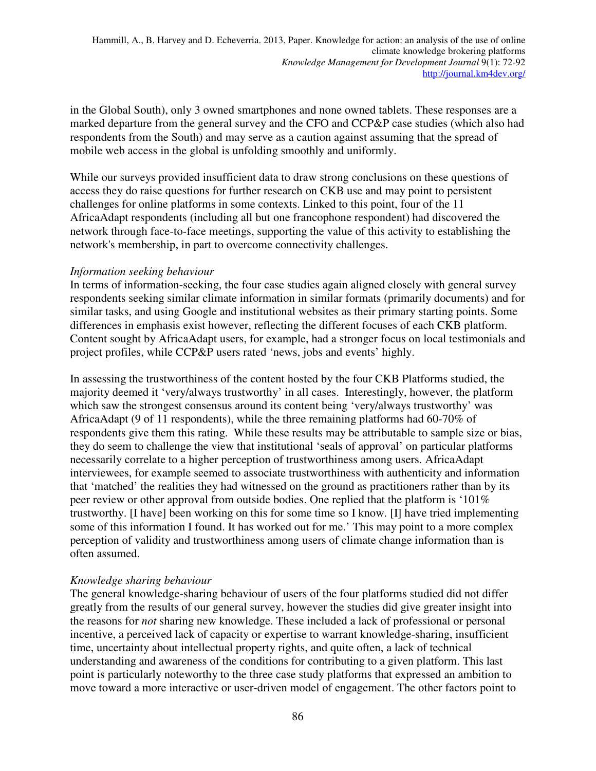in the Global South), only 3 owned smartphones and none owned tablets. These responses are a marked departure from the general survey and the CFO and CCP&P case studies (which also had respondents from the South) and may serve as a caution against assuming that the spread of mobile web access in the global is unfolding smoothly and uniformly.

While our surveys provided insufficient data to draw strong conclusions on these questions of access they do raise questions for further research on CKB use and may point to persistent challenges for online platforms in some contexts. Linked to this point, four of the 11 AfricaAdapt respondents (including all but one francophone respondent) had discovered the network through face-to-face meetings, supporting the value of this activity to establishing the network's membership, in part to overcome connectivity challenges.

#### *Information seeking behaviour*

In terms of information-seeking, the four case studies again aligned closely with general survey respondents seeking similar climate information in similar formats (primarily documents) and for similar tasks, and using Google and institutional websites as their primary starting points. Some differences in emphasis exist however, reflecting the different focuses of each CKB platform. Content sought by AfricaAdapt users, for example, had a stronger focus on local testimonials and project profiles, while CCP&P users rated 'news, jobs and events' highly.

In assessing the trustworthiness of the content hosted by the four CKB Platforms studied, the majority deemed it 'very/always trustworthy' in all cases. Interestingly, however, the platform which saw the strongest consensus around its content being 'very/always trustworthy' was AfricaAdapt (9 of 11 respondents), while the three remaining platforms had 60-70% of respondents give them this rating. While these results may be attributable to sample size or bias, they do seem to challenge the view that institutional 'seals of approval' on particular platforms necessarily correlate to a higher perception of trustworthiness among users. AfricaAdapt interviewees, for example seemed to associate trustworthiness with authenticity and information that 'matched' the realities they had witnessed on the ground as practitioners rather than by its peer review or other approval from outside bodies. One replied that the platform is '101% trustworthy. [I have] been working on this for some time so I know. [I] have tried implementing some of this information I found. It has worked out for me.' This may point to a more complex perception of validity and trustworthiness among users of climate change information than is often assumed.

## *Knowledge sharing behaviour*

The general knowledge-sharing behaviour of users of the four platforms studied did not differ greatly from the results of our general survey, however the studies did give greater insight into the reasons for *not* sharing new knowledge. These included a lack of professional or personal incentive, a perceived lack of capacity or expertise to warrant knowledge-sharing, insufficient time, uncertainty about intellectual property rights, and quite often, a lack of technical understanding and awareness of the conditions for contributing to a given platform. This last point is particularly noteworthy to the three case study platforms that expressed an ambition to move toward a more interactive or user-driven model of engagement. The other factors point to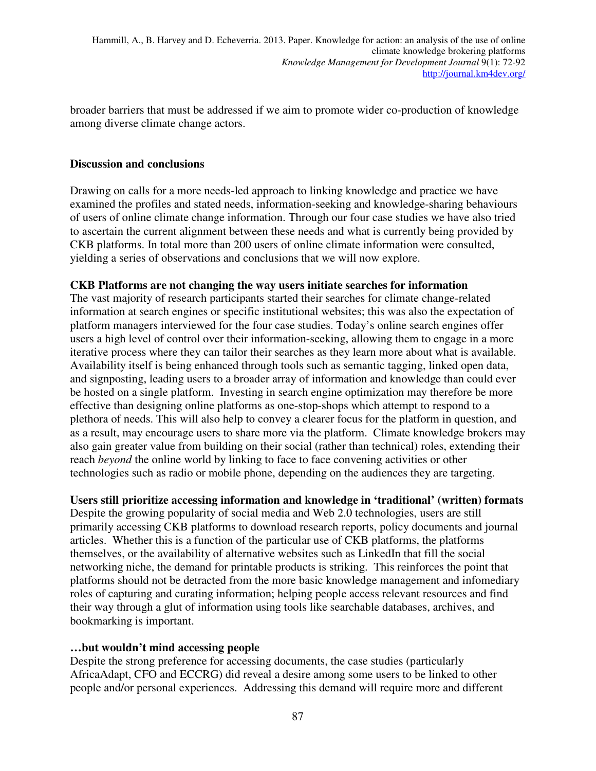broader barriers that must be addressed if we aim to promote wider co-production of knowledge among diverse climate change actors.

## **Discussion and conclusions**

Drawing on calls for a more needs-led approach to linking knowledge and practice we have examined the profiles and stated needs, information-seeking and knowledge-sharing behaviours of users of online climate change information. Through our four case studies we have also tried to ascertain the current alignment between these needs and what is currently being provided by CKB platforms. In total more than 200 users of online climate information were consulted, yielding a series of observations and conclusions that we will now explore.

## **CKB Platforms are not changing the way users initiate searches for information**

The vast majority of research participants started their searches for climate change-related information at search engines or specific institutional websites; this was also the expectation of platform managers interviewed for the four case studies. Today's online search engines offer users a high level of control over their information-seeking, allowing them to engage in a more iterative process where they can tailor their searches as they learn more about what is available. Availability itself is being enhanced through tools such as semantic tagging, linked open data, and signposting, leading users to a broader array of information and knowledge than could ever be hosted on a single platform. Investing in search engine optimization may therefore be more effective than designing online platforms as one-stop-shops which attempt to respond to a plethora of needs. This will also help to convey a clearer focus for the platform in question, and as a result, may encourage users to share more via the platform. Climate knowledge brokers may also gain greater value from building on their social (rather than technical) roles, extending their reach *beyond* the online world by linking to face to face convening activities or other technologies such as radio or mobile phone, depending on the audiences they are targeting.

## **Users still prioritize accessing information and knowledge in 'traditional' (written) formats**

Despite the growing popularity of social media and Web 2.0 technologies, users are still primarily accessing CKB platforms to download research reports, policy documents and journal articles. Whether this is a function of the particular use of CKB platforms, the platforms themselves, or the availability of alternative websites such as LinkedIn that fill the social networking niche, the demand for printable products is striking. This reinforces the point that platforms should not be detracted from the more basic knowledge management and infomediary roles of capturing and curating information; helping people access relevant resources and find their way through a glut of information using tools like searchable databases, archives, and bookmarking is important.

## **…but wouldn't mind accessing people**

Despite the strong preference for accessing documents, the case studies (particularly AfricaAdapt, CFO and ECCRG) did reveal a desire among some users to be linked to other people and/or personal experiences. Addressing this demand will require more and different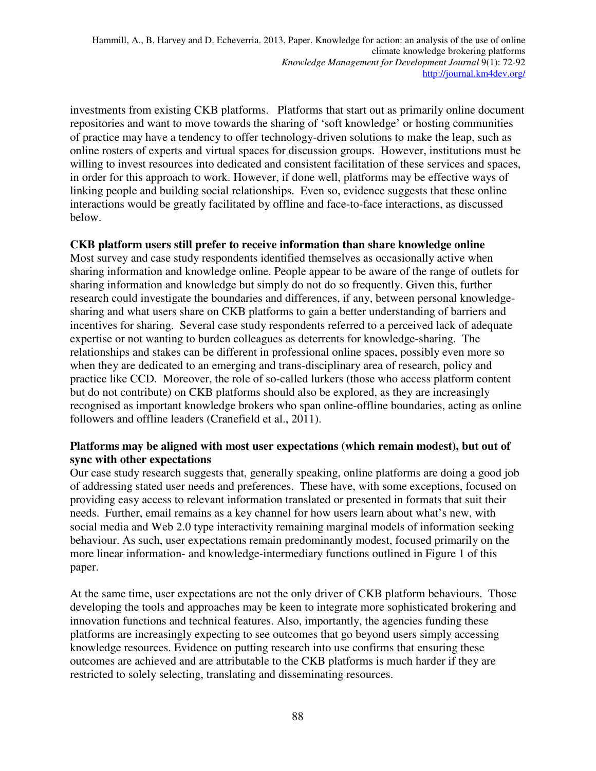investments from existing CKB platforms. Platforms that start out as primarily online document repositories and want to move towards the sharing of 'soft knowledge' or hosting communities of practice may have a tendency to offer technology-driven solutions to make the leap, such as online rosters of experts and virtual spaces for discussion groups. However, institutions must be willing to invest resources into dedicated and consistent facilitation of these services and spaces, in order for this approach to work. However, if done well, platforms may be effective ways of linking people and building social relationships. Even so, evidence suggests that these online interactions would be greatly facilitated by offline and face-to-face interactions, as discussed below.

#### **CKB platform users still prefer to receive information than share knowledge online**

Most survey and case study respondents identified themselves as occasionally active when sharing information and knowledge online. People appear to be aware of the range of outlets for sharing information and knowledge but simply do not do so frequently. Given this, further research could investigate the boundaries and differences, if any, between personal knowledgesharing and what users share on CKB platforms to gain a better understanding of barriers and incentives for sharing. Several case study respondents referred to a perceived lack of adequate expertise or not wanting to burden colleagues as deterrents for knowledge-sharing. The relationships and stakes can be different in professional online spaces, possibly even more so when they are dedicated to an emerging and trans-disciplinary area of research, policy and practice like CCD. Moreover, the role of so-called lurkers (those who access platform content but do not contribute) on CKB platforms should also be explored, as they are increasingly recognised as important knowledge brokers who span online-offline boundaries, acting as online followers and offline leaders (Cranefield et al., 2011).

## **Platforms may be aligned with most user expectations (which remain modest), but out of sync with other expectations**

Our case study research suggests that, generally speaking, online platforms are doing a good job of addressing stated user needs and preferences. These have, with some exceptions, focused on providing easy access to relevant information translated or presented in formats that suit their needs. Further, email remains as a key channel for how users learn about what's new, with social media and Web 2.0 type interactivity remaining marginal models of information seeking behaviour. As such, user expectations remain predominantly modest, focused primarily on the more linear information- and knowledge-intermediary functions outlined in Figure 1 of this paper.

At the same time, user expectations are not the only driver of CKB platform behaviours. Those developing the tools and approaches may be keen to integrate more sophisticated brokering and innovation functions and technical features. Also, importantly, the agencies funding these platforms are increasingly expecting to see outcomes that go beyond users simply accessing knowledge resources. Evidence on putting research into use confirms that ensuring these outcomes are achieved and are attributable to the CKB platforms is much harder if they are restricted to solely selecting, translating and disseminating resources.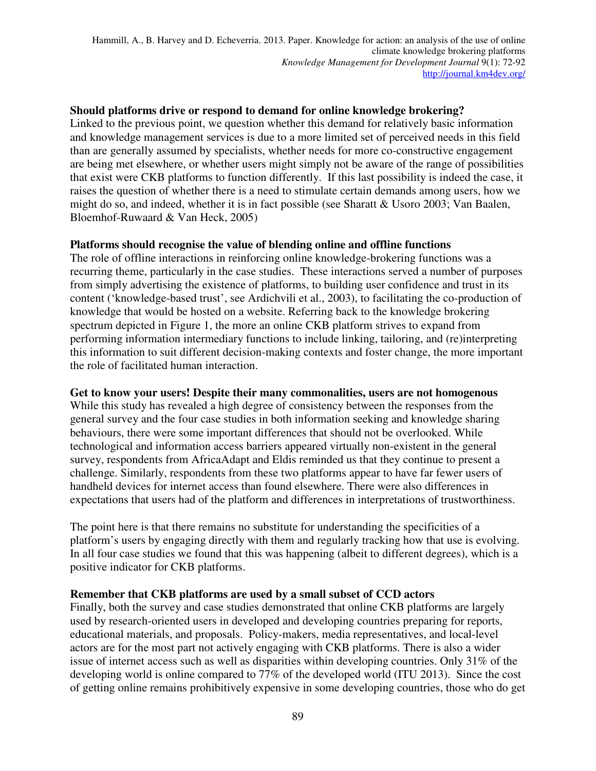#### **Should platforms drive or respond to demand for online knowledge brokering?**

Linked to the previous point, we question whether this demand for relatively basic information and knowledge management services is due to a more limited set of perceived needs in this field than are generally assumed by specialists, whether needs for more co-constructive engagement are being met elsewhere, or whether users might simply not be aware of the range of possibilities that exist were CKB platforms to function differently. If this last possibility is indeed the case, it raises the question of whether there is a need to stimulate certain demands among users, how we might do so, and indeed, whether it is in fact possible (see Sharatt & Usoro 2003; Van Baalen, Bloemhof-Ruwaard & Van Heck, 2005)

#### **Platforms should recognise the value of blending online and offline functions**

The role of offline interactions in reinforcing online knowledge-brokering functions was a recurring theme, particularly in the case studies. These interactions served a number of purposes from simply advertising the existence of platforms, to building user confidence and trust in its content ('knowledge-based trust', see Ardichvili et al., 2003), to facilitating the co-production of knowledge that would be hosted on a website. Referring back to the knowledge brokering spectrum depicted in Figure 1, the more an online CKB platform strives to expand from performing information intermediary functions to include linking, tailoring, and (re)interpreting this information to suit different decision-making contexts and foster change, the more important the role of facilitated human interaction.

#### **Get to know your users! Despite their many commonalities, users are not homogenous**

While this study has revealed a high degree of consistency between the responses from the general survey and the four case studies in both information seeking and knowledge sharing behaviours, there were some important differences that should not be overlooked. While technological and information access barriers appeared virtually non-existent in the general survey, respondents from AfricaAdapt and Eldis reminded us that they continue to present a challenge. Similarly, respondents from these two platforms appear to have far fewer users of handheld devices for internet access than found elsewhere. There were also differences in expectations that users had of the platform and differences in interpretations of trustworthiness.

The point here is that there remains no substitute for understanding the specificities of a platform's users by engaging directly with them and regularly tracking how that use is evolving. In all four case studies we found that this was happening (albeit to different degrees), which is a positive indicator for CKB platforms.

#### **Remember that CKB platforms are used by a small subset of CCD actors**

Finally, both the survey and case studies demonstrated that online CKB platforms are largely used by research-oriented users in developed and developing countries preparing for reports, educational materials, and proposals. Policy-makers, media representatives, and local-level actors are for the most part not actively engaging with CKB platforms. There is also a wider issue of internet access such as well as disparities within developing countries. Only 31% of the developing world is online compared to 77% of the developed world (ITU 2013). Since the cost of getting online remains prohibitively expensive in some developing countries, those who do get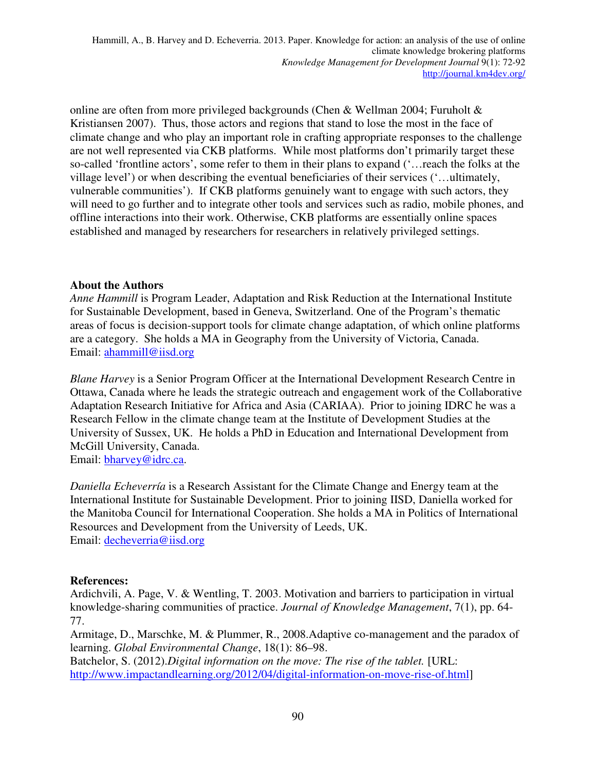online are often from more privileged backgrounds (Chen & Wellman 2004; Furuholt & Kristiansen 2007). Thus, those actors and regions that stand to lose the most in the face of climate change and who play an important role in crafting appropriate responses to the challenge are not well represented via CKB platforms. While most platforms don't primarily target these so-called 'frontline actors', some refer to them in their plans to expand ('…reach the folks at the village level') or when describing the eventual beneficiaries of their services ('…ultimately, vulnerable communities'). If CKB platforms genuinely want to engage with such actors, they will need to go further and to integrate other tools and services such as radio, mobile phones, and offline interactions into their work. Otherwise, CKB platforms are essentially online spaces established and managed by researchers for researchers in relatively privileged settings.

## **About the Authors**

*Anne Hammill* is Program Leader, Adaptation and Risk Reduction at the International Institute for Sustainable Development, based in Geneva, Switzerland. One of the Program's thematic areas of focus is decision-support tools for climate change adaptation, of which online platforms are a category. She holds a MA in Geography from the University of Victoria, Canada. Email: ahammill@iisd.org

*Blane Harvey* is a Senior Program Officer at the International Development Research Centre in Ottawa, Canada where he leads the strategic outreach and engagement work of the Collaborative Adaptation Research Initiative for Africa and Asia (CARIAA). Prior to joining IDRC he was a Research Fellow in the climate change team at the Institute of Development Studies at the University of Sussex, UK. He holds a PhD in Education and International Development from McGill University, Canada.

Email: bharvey@idrc.ca.

*Daniella Echeverría* is a Research Assistant for the Climate Change and Energy team at the International Institute for Sustainable Development. Prior to joining IISD, Daniella worked for the Manitoba Council for International Cooperation. She holds a MA in Politics of International Resources and Development from the University of Leeds, UK. Email: decheverria@iisd.org

## **References:**

Ardichvili, A. Page, V. & Wentling, T. 2003. Motivation and barriers to participation in virtual knowledge-sharing communities of practice. *Journal of Knowledge Management*, 7(1), pp. 64- 77.

Armitage, D., Marschke, M. & Plummer, R., 2008.Adaptive co-management and the paradox of learning. *Global Environmental Change*, 18(1): 86–98.

Batchelor, S. (2012).*Digital information on the move: The rise of the tablet.* [URL: http://www.impactandlearning.org/2012/04/digital-information-on-move-rise-of.html]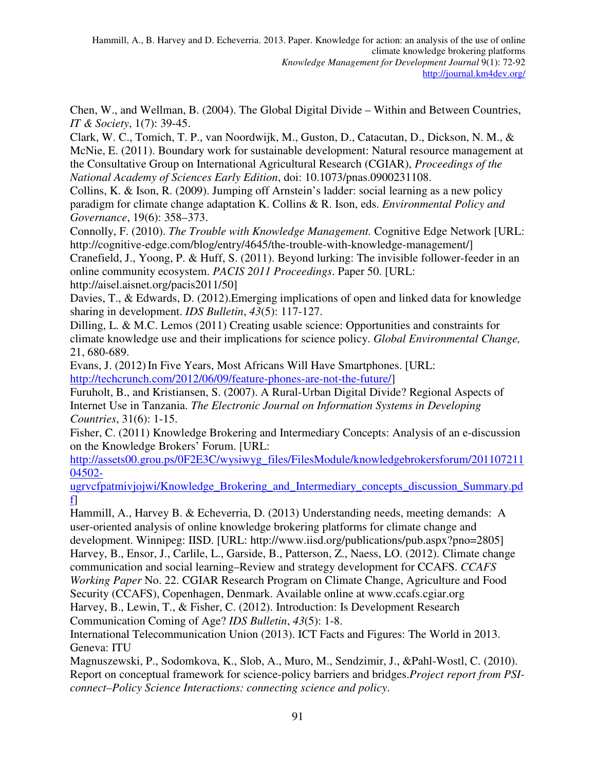Chen, W., and Wellman, B. (2004). The Global Digital Divide – Within and Between Countries, *IT & Society*, 1(7): 39-45.

Clark, W. C., Tomich, T. P., van Noordwijk, M., Guston, D., Catacutan, D., Dickson, N. M., & McNie, E. (2011). Boundary work for sustainable development: Natural resource management at the Consultative Group on International Agricultural Research (CGIAR), *Proceedings of the National Academy of Sciences Early Edition*, doi: 10.1073/pnas.0900231108.

Collins, K. & Ison, R. (2009). Jumping off Arnstein's ladder: social learning as a new policy paradigm for climate change adaptation K. Collins & R. Ison, eds. *Environmental Policy and Governance*, 19(6): 358–373.

Connolly, F. (2010). *The Trouble with Knowledge Management.* Cognitive Edge Network [URL: http://cognitive-edge.com/blog/entry/4645/the-trouble-with-knowledge-management/]

Cranefield, J., Yoong, P. & Huff, S. (2011). Beyond lurking: The invisible follower-feeder in an online community ecosystem. *PACIS 2011 Proceedings*. Paper 50. [URL: http://aisel.aisnet.org/pacis2011/50]

Davies, T., & Edwards, D. (2012).Emerging implications of open and linked data for knowledge sharing in development. *IDS Bulletin*, *43*(5): 117-127.

Dilling, L. & M.C. Lemos (2011) Creating usable science: Opportunities and constraints for climate knowledge use and their implications for science policy. *Global Environmental Change,*  21, 680-689.

Evans, J. (2012) In Five Years, Most Africans Will Have Smartphones. [URL: http://techcrunch.com/2012/06/09/feature-phones-are-not-the-future/]

Furuholt, B., and Kristiansen, S. (2007). A Rural-Urban Digital Divide? Regional Aspects of Internet Use in Tanzania. *The Electronic Journal on Information Systems in Developing Countries*, 31(6): 1-15.

Fisher, C. (2011) Knowledge Brokering and Intermediary Concepts: Analysis of an e-discussion on the Knowledge Brokers' Forum. [URL:

http://assets00.grou.ps/0F2E3C/wysiwyg\_files/FilesModule/knowledgebrokersforum/201107211 04502-

ugrvcfpatmivjojwi/Knowledge\_Brokering\_and\_Intermediary\_concepts\_discussion\_Summary.pd f]

Hammill, A., Harvey B. & Echeverria, D. (2013) Understanding needs, meeting demands: A user-oriented analysis of online knowledge brokering platforms for climate change and development. Winnipeg: IISD. [URL: http://www.iisd.org/publications/pub.aspx?pno=2805] Harvey, B., Ensor, J., Carlile, L., Garside, B., Patterson, Z., Naess, LO. (2012). Climate change communication and social learning–Review and strategy development for CCAFS. *CCAFS Working Paper* No. 22. CGIAR Research Program on Climate Change, Agriculture and Food Security (CCAFS), Copenhagen, Denmark. Available online at www.ccafs.cgiar.org Harvey, B., Lewin, T., & Fisher, C. (2012). Introduction: Is Development Research Communication Coming of Age? *IDS Bulletin*, *43*(5): 1-8.

International Telecommunication Union (2013). ICT Facts and Figures: The World in 2013. Geneva: ITU

Magnuszewski, P., Sodomkova, K., Slob, A., Muro, M., Sendzimir, J., &Pahl-Wostl, C. (2010). Report on conceptual framework for science-policy barriers and bridges.*Project report from PSIconnect–Policy Science Interactions: connecting science and policy*.